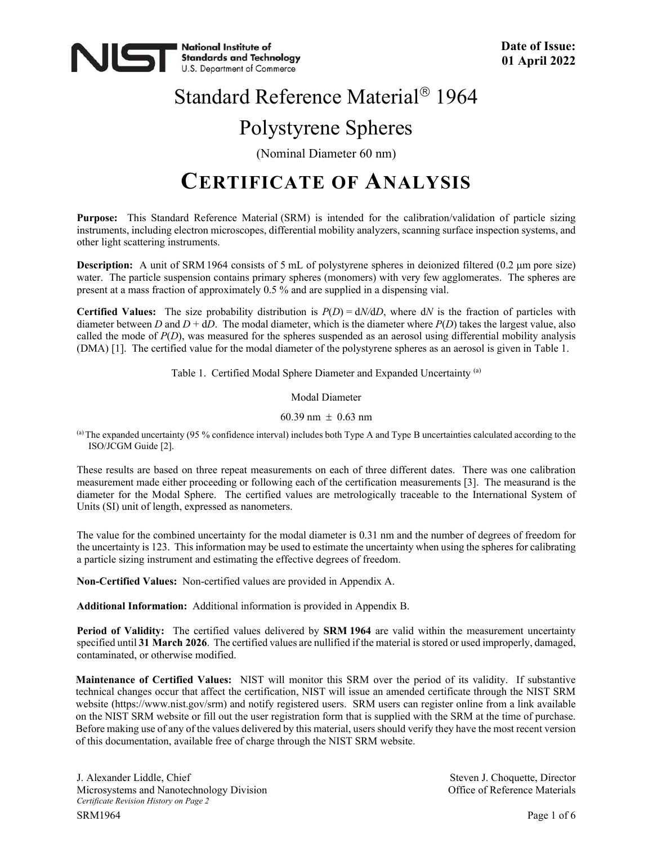

# Standard Reference Material<sup>®</sup> 1964 Polystyrene Spheres

(Nominal Diameter 60 nm)

### **CERTIFICATE OF ANALYSIS**

**Purpose:** This Standard Reference Material (SRM) is intended for the calibration/validation of particle sizing instruments, including electron microscopes, differential mobility analyzers, scanning surface inspection systems, and other light scattering instruments.

**Description:** A unit of SRM 1964 consists of 5 mL of polystyrene spheres in deionized filtered (0.2 µm pore size) water. The particle suspension contains primary spheres (monomers) with very few agglomerates. The spheres are present at a mass fraction of approximately 0.5 % and are supplied in a dispensing vial.

**Certified Values:** The size probability distribution is  $P(D) = dN/dD$ , where  $dN$  is the fraction of particles with diameter between *D* and  $D + dD$ . The modal diameter, which is the diameter where  $P(D)$  takes the largest value, also called the mode of *P*(*D*), was measured for the spheres suspended as an aerosol using differential mobility analysis (DMA) [1]. The certified value for the modal diameter of the polystyrene spheres as an aerosol is given in Table 1.

Table 1. Certified Modal Sphere Diameter and Expanded Uncertainty (a)

Modal Diameter

60.39 nm  $\pm$  0.63 nm

(a) The expanded uncertainty (95 % confidence interval) includes both Type A and Type B uncertainties calculated according to the ISO/JCGM Guide [2].

These results are based on three repeat measurements on each of three different dates. There was one calibration measurement made either proceeding or following each of the certification measurements [3]. The measurand is the diameter for the Modal Sphere. The certified values are metrologically traceable to the International System of Units (SI) unit of length, expressed as nanometers.

The value for the combined uncertainty for the modal diameter is 0.31 nm and the number of degrees of freedom for the uncertainty is 123. This information may be used to estimate the uncertainty when using the spheres for calibrating a particle sizing instrument and estimating the effective degrees of freedom.

**Non-Certified Values:** Non-certified values are provided in Appendix A.

**Additional Information:** Additional information is provided in Appendix B.

**Period of Validity:** The certified values delivered by **SRM 1964** are valid within the measurement uncertainty specified until **31 March 2026**. The certified values are nullified if the material is stored or used improperly, damaged, contaminated, or otherwise modified.

**Maintenance of Certified Values:** NIST will monitor this SRM over the period of its validity. If substantive technical changes occur that affect the certification, NIST will issue an amended certificate through the NIST SRM website (https://www.nist.gov/srm) and notify registered users. SRM users can register online from a link available on the NIST SRM website or fill out the user registration form that is supplied with the SRM at the time of purchase. Before making use of any of the values delivered by this material, users should verify they have the most recent version of this documentation, available free of charge through the NIST SRM website.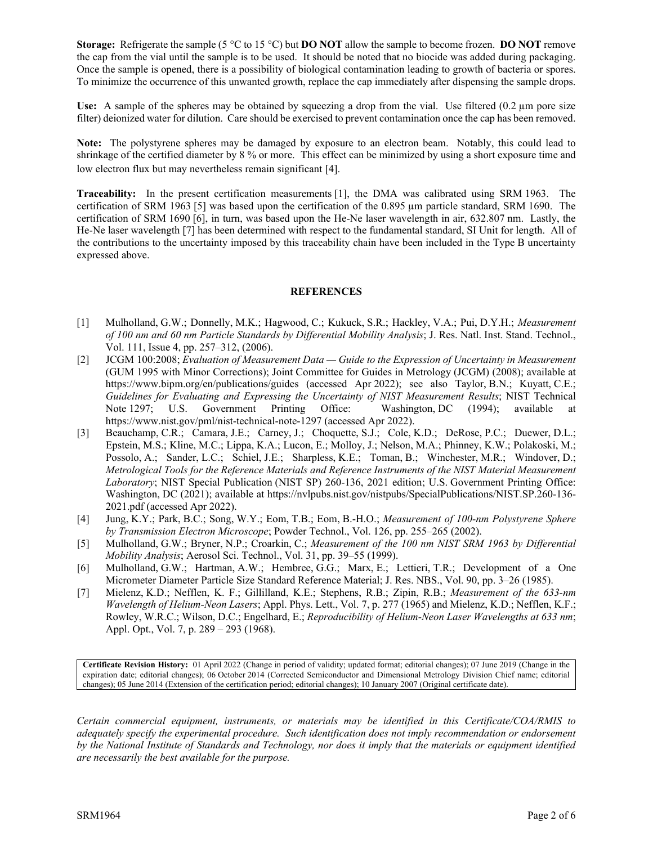**Storage:** Refrigerate the sample (5 °C to 15 °C) but **DO NOT** allow the sample to become frozen. **DO NOT** remove the cap from the vial until the sample is to be used. It should be noted that no biocide was added during packaging. Once the sample is opened, there is a possibility of biological contamination leading to growth of bacteria or spores. To minimize the occurrence of this unwanted growth, replace the cap immediately after dispensing the sample drops.

Use: A sample of the spheres may be obtained by squeezing a drop from the vial. Use filtered (0.2  $\mu$ m pore size filter) deionized water for dilution. Care should be exercised to prevent contamination once the cap has been removed.

**Note:** The polystyrene spheres may be damaged by exposure to an electron beam. Notably, this could lead to shrinkage of the certified diameter by 8 % or more. This effect can be minimized by using a short exposure time and low electron flux but may nevertheless remain significant [4].

**Traceability:** In the present certification measurements [1], the DMA was calibrated using SRM 1963. The certification of SRM 1963 [5] was based upon the certification of the 0.895 µm particle standard, SRM 1690. The certification of SRM 1690 [6], in turn, was based upon the He-Ne laser wavelength in air, 632.807 nm. Lastly, the He-Ne laser wavelength [7] has been determined with respect to the fundamental standard, SI Unit for length. All of the contributions to the uncertainty imposed by this traceability chain have been included in the Type B uncertainty expressed above.

#### **REFERENCES**

- [1] Mulholland, G.W.; Donnelly, M.K.; Hagwood, C.; Kukuck, S.R.; Hackley, V.A.; Pui, D.Y.H.; *Measurement of 100 nm and 60 nm Particle Standards by Differential Mobility Analysis*; J. Res. Natl. Inst. Stand. Technol., Vol. 111, Issue 4, pp. 257–312, (2006).
- [2] JCGM 100:2008; *Evaluation of Measurement Data — Guide to the Expression of Uncertainty in Measurement*  (GUM 1995 with Minor Corrections); Joint Committee for Guides in Metrology (JCGM) (2008); available at <https://www.bipm.org/en/publications/guides> (accessed Apr 2022); see also Taylor, B.N.; Kuyatt, C.E.; *Guidelines for Evaluating and Expressing the Uncertainty of NIST Measurement Results*; NIST Technical Note 1297; U.S. Government Printing Office: Washington, DC (1994); available at <https://www.nist.gov/pml/nist-technical-note-1297> (accessed Apr 2022).
- [3] Beauchamp, C.R.; Camara, J.E.; Carney, J.; Choquette, S.J.; Cole, K.D.; DeRose, P.C.; Duewer, D.L.; Epstein, M.S.; Kline, M.C.; Lippa, K.A.; Lucon, E.; Molloy, J.; Nelson, M.A.; Phinney, K.W.; Polakoski, M.; Possolo, A.; Sander, L.C.; Schiel, J.E.; Sharpless, K.E.; Toman, B.; Winchester, M.R.; Windover, D.; *Metrological Tools for the Reference Materials and Reference Instruments of the NIST Material Measurement Laboratory*; NIST Special Publication (NIST SP) 260-136, 2021 edition; U.S. Government Printing Office: Washington, DC (2021); available at [https://nvlpubs.nist.gov/nistpubs/SpecialPublications/NIST.SP.260-136-](https://nvlpubs.nist.gov/nistpubs/SpecialPublications/NIST.SP.260-136-2021.pdf) [2021.pdf](https://nvlpubs.nist.gov/nistpubs/SpecialPublications/NIST.SP.260-136-2021.pdf) (accessed Apr 2022).
- [4] Jung, K.Y.; Park, B.C.; Song, W.Y.; Eom, T.B.; Eom, B.-H.O.; *Measurement of 100-nm Polystyrene Sphere by Transmission Electron Microscope*; Powder Technol., Vol. 126, pp. 255–265 (2002).
- [5] Mulholland, G.W.; Bryner, N.P.; Croarkin, C.; *Measurement of the 100 nm NIST SRM 1963 by Differential Mobility Analysis*; Aerosol Sci. Technol., Vol. 31, pp. 39–55 (1999).
- [6] Mulholland, G.W.; Hartman, A.W.; Hembree, G.G.; Marx, E.; Lettieri, T.R.; Development of a One Micrometer Diameter Particle Size Standard Reference Material; J. Res. NBS., Vol. 90, pp. 3–26 (1985).
- [7] Mielenz, K.D.; Nefflen, K. F.; Gillilland, K.E.; Stephens, R.B.; Zipin, R.B.; *Measurement of the 633-nm Wavelength of Helium-Neon Lasers*; Appl. Phys. Lett., Vol. 7, p. 277 (1965) and Mielenz, K.D.; Nefflen, K.F.; Rowley, W.R.C.; Wilson, D.C.; Engelhard, E.; *Reproducibility of Helium-Neon Laser Wavelengths at 633 nm*; Appl. Opt., Vol. 7, p. 289 – 293 (1968).

**Certificate Revision History:** 01 April 2022 (Change in period of validity; updated format; editorial changes); 07 June 2019 (Change in the expiration date; editorial changes); 06 October 2014 (Corrected Semiconductor and Dimensional Metrology Division Chief name; editorial changes); 05 June 2014 (Extension of the certification period; editorial changes); 10 January 2007 (Original certificate date).

*Certain commercial equipment, instruments, or materials may be identified in this Certificate/COA/RMIS to adequately specify the experimental procedure. Such identification does not imply recommendation or endorsement by the National Institute of Standards and Technology, nor does it imply that the materials or equipment identified are necessarily the best available for the purpose.*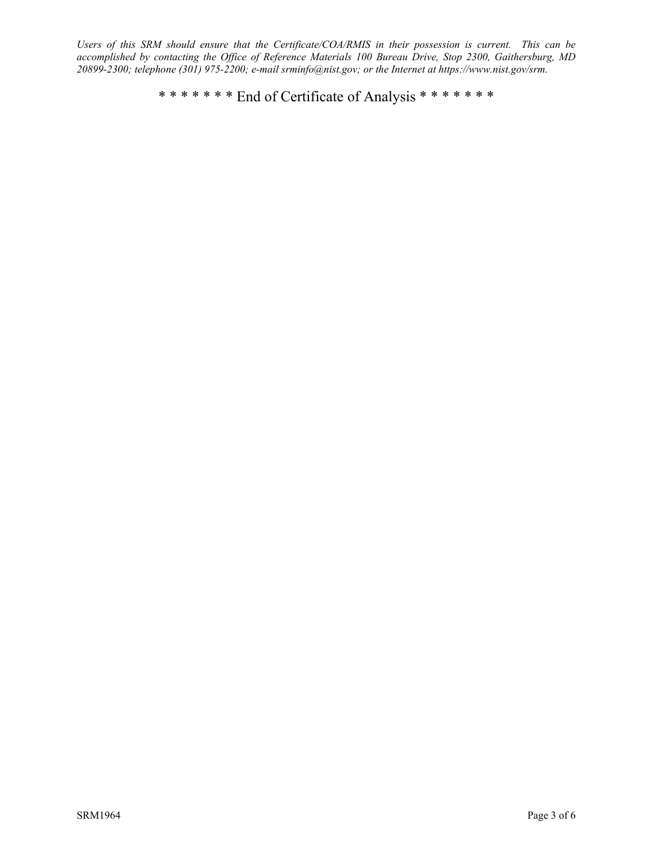*Users of this SRM should ensure that the Certificate/COA/RMIS in their possession is current. This can be accomplished by contacting the Office of Reference Materials 100 Bureau Drive, Stop 2300, Gaithersburg, MD 20899-2300; telephone (301) 975-2200; e-mail srminfo@nist.gov; or the Internet at [https://www.nist.gov/srm.](https://www.nist.gov/srm)*

\* \* \* \* \* \* \* End of Certificate of Analysis \* \* \* \* \* \* \*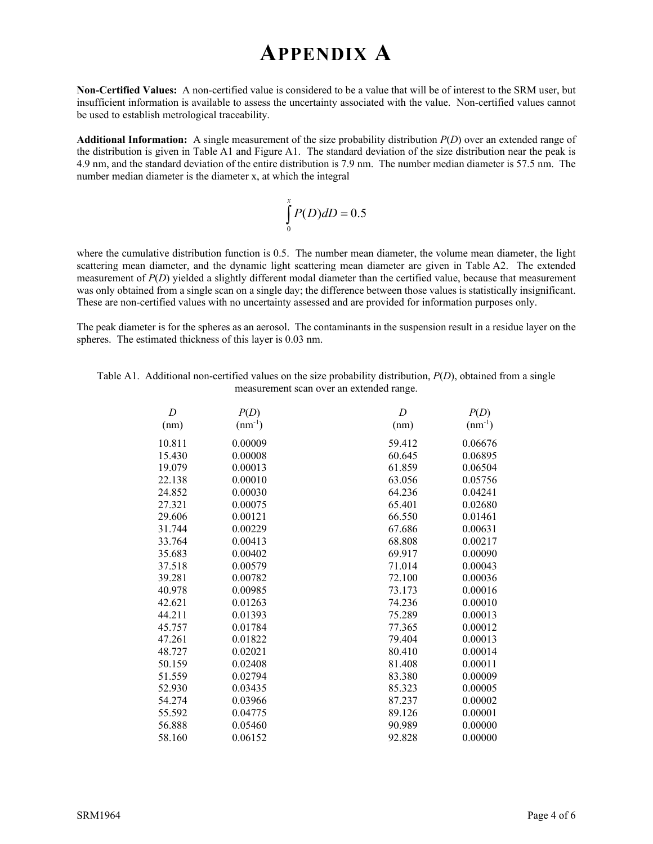### **APPENDIX A**

**Non-Certified Values:** A non-certified value is considered to be a value that will be of interest to the SRM user, but insufficient information is available to assess the uncertainty associated with the value. Non-certified values cannot be used to establish metrological traceability.

**Additional Information:** A single measurement of the size probability distribution *P*(*D*) over an extended range of the distribution is given in Table A1 and Figure A1. The standard deviation of the size distribution near the peak is 4.9 nm, and the standard deviation of the entire distribution is 7.9 nm. The number median diameter is 57.5 nm. The number median diameter is the diameter x, at which the integral

$$
\int_{0}^{x} P(D) dD = 0.5
$$

where the cumulative distribution function is 0.5. The number mean diameter, the volume mean diameter, the light scattering mean diameter, and the dynamic light scattering mean diameter are given in Table A2. The extended measurement of *P(D)* yielded a slightly different modal diameter than the certified value, because that measurement was only obtained from a single scan on a single day; the difference between those values is statistically insignificant. These are non-certified values with no uncertainty assessed and are provided for information purposes only.

The peak diameter is for the spheres as an aerosol. The contaminants in the suspension result in a residue layer on the spheres. The estimated thickness of this layer is 0.03 nm.

| Table A1. Additional non-certified values on the size probability distribution, $P(D)$ , obtained from a single |
|-----------------------------------------------------------------------------------------------------------------|
| measurement scan over an extended range.                                                                        |

| D      | P(D)        | D      | P(D)        |
|--------|-------------|--------|-------------|
| (nm)   | $(nm^{-1})$ | (nm)   | $(nm^{-1})$ |
| 10.811 | 0.00009     | 59.412 | 0.06676     |
| 15.430 | 0.00008     | 60.645 | 0.06895     |
| 19.079 | 0.00013     | 61.859 | 0.06504     |
| 22.138 | 0.00010     | 63.056 | 0.05756     |
| 24.852 | 0.00030     | 64.236 | 0.04241     |
| 27.321 | 0.00075     | 65.401 | 0.02680     |
| 29.606 | 0.00121     | 66.550 | 0.01461     |
| 31.744 | 0.00229     | 67.686 | 0.00631     |
| 33.764 | 0.00413     | 68.808 | 0.00217     |
| 35.683 | 0.00402     | 69.917 | 0.00090     |
| 37.518 | 0.00579     | 71.014 | 0.00043     |
| 39.281 | 0.00782     | 72.100 | 0.00036     |
| 40.978 | 0.00985     | 73.173 | 0.00016     |
| 42.621 | 0.01263     | 74.236 | 0.00010     |
| 44.211 | 0.01393     | 75.289 | 0.00013     |
| 45.757 | 0.01784     | 77.365 | 0.00012     |
| 47.261 | 0.01822     | 79.404 | 0.00013     |
| 48.727 | 0.02021     | 80.410 | 0.00014     |
| 50.159 | 0.02408     | 81.408 | 0.00011     |
| 51.559 | 0.02794     | 83.380 | 0.00009     |
| 52.930 | 0.03435     | 85.323 | 0.00005     |
| 54.274 | 0.03966     | 87.237 | 0.00002     |
| 55.592 | 0.04775     | 89.126 | 0.00001     |
| 56.888 | 0.05460     | 90.989 | 0.00000     |
| 58.160 | 0.06152     | 92.828 | 0.00000     |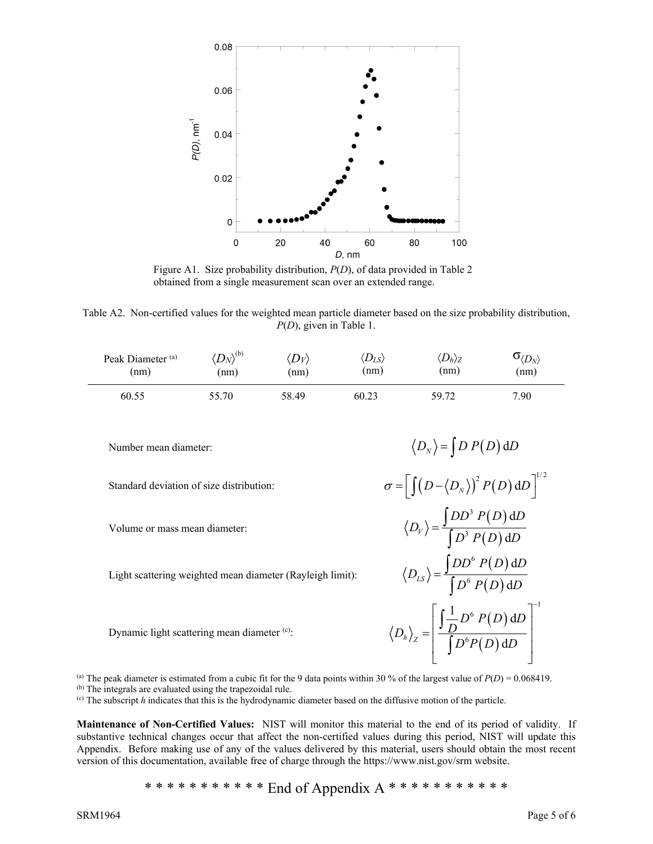

Figure A1. Size probability distribution, *P*(*D*), of data provided in Table 2 obtained from a single measurement scan over an extended range.

Table A2. Non-certified values for the weighted mean particle diameter based on the size probability distribution, *P*(*D*), given in Table 1.

| Peak Diameter <sup>(a)</sup> | $\langle D_N\rangle^{(b)}$ | $ D_V\rangle$ | $\langle D_{LS} \rangle$ | $\langle D_h\rangle_Z$ | $\mathbf{O}_{\langle D_N \rangle}$ |
|------------------------------|----------------------------|---------------|--------------------------|------------------------|------------------------------------|
| (nm)                         | (nm)                       | (nm)          | (nm)                     | (nm)                   | (nm)                               |
| 60.55                        | 55.70                      | 58.49         | 60.23                    | 59.72                  | 7.90                               |

Number mean diameter:  $\langle D_N \rangle = \int D P(D) dD$ 

Standard deviation of size distribution:  $\sigma = \left[ \int (D - \langle D_N \rangle)^2 P(D) dD \right]^{1/2}$ 

Volume or mass mean diameter:  $\langle D_{V} \rangle = \frac{\int DD^{3} P(D)}{\int D^{3} P(D)}$ 

Light scattering weighted mean diameter (Rayleigh limit):

Dynamic light scattering mean diameter (c):

(a) The peak diameter is estimated from a cubic fit for the 9 data points within 30 % of the largest value of  $P(D) = 0.068419$ .

(b) The integrals are evaluated using the trapezoidal rule.

(c) The subscript *h* indicates that this is the hydrodynamic diameter based on the diffusive motion of the particle.

**Maintenance of Non-Certified Values:** NIST will monitor this material to the end of its period of validity. If substantive technical changes occur that affect the non-certified values during this period, NIST will update this Appendix. Before making use of any of the values delivered by this material, users should obtain the most recent version of this documentation, available free of charge through the https://www.nist.gov/srm website.

\* \* \* \* \* \* \* \* \* End of Appendix A \* \* \* \* \* \* \* \* \* \* \* \* \*

 $(D)$ 

 $DD^6\ P(D)\,\mathrm{d}D$ 

 $(D)$ 

 $(D)$ 

 $(D)$ 

 $D^{\mathfrak{b}}$   $P(D)$  d $D$ 

 $(D)$ 

 $D^{\rm o}P(D)\,{\rm d}D$ 

 $DD^3\ P(D)\ \mathrm{d}D$ 

d

d

1

3

 $=\frac{\int DD^3 P(D) \, \mathrm{d}D}{\int D^3 P(D) \, \mathrm{d}D}$ 

6

 $=\frac{\int DD^{6} P(D) \, \mathrm{d}D}{\int D^{6} P(D) \, \mathrm{d}D}$ 

6

6

 $\frac{1}{D}$  $D^6$   $P(D)$  d

 $\lceil \int_0^1 n^{6} p(D) dD \rceil$  $=\left|\frac{\int_{D}^{D} P(D) dD}{\int_{D}^{L} P(D)}\right|$ 

6

 $h / Z$   $\left[$   $D^6 P(D) d$ 

∫

∫

 $\mu$ <sub>s</sub> $\int$   $D^6$   $P(D)$  d

3

 $\big[ D^3 P(D) \, \mathrm{d}$ 

*D*

*D*

 $D_h$ <sub>z</sub> =  $\frac{J_D}{f}$